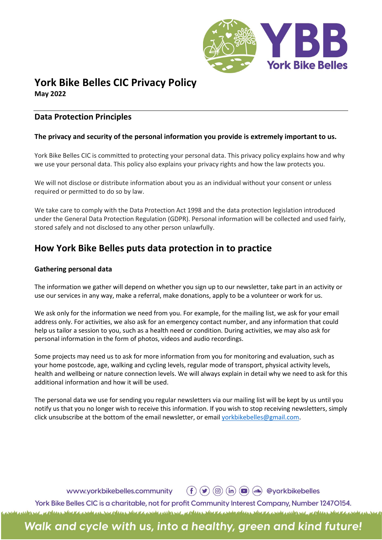

# York Bike Belles CIC Privacy Policy May 2022

## Data Protection Principles

## The privacy and security of the personal information you provide is extremely important to us.

York Bike Belles CIC is committed to protecting your personal data. This privacy policy explains how and why we use your personal data. This policy also explains your privacy rights and how the law protects you.

We will not disclose or distribute information about you as an individual without your consent or unless required or permitted to do so by law.

We take care to comply with the Data Protection Act 1998 and the data protection legislation introduced under the General Data Protection Regulation (GDPR). Personal information will be collected and used fairly, stored safely and not disclosed to any other person unlawfully.

# How York Bike Belles puts data protection in to practice

## Gathering personal data

The information we gather will depend on whether you sign up to our newsletter, take part in an activity or use our services in any way, make a referral, make donations, apply to be a volunteer or work for us.

We ask only for the information we need from you. For example, for the mailing list, we ask for your email address only. For activities, we also ask for an emergency contact number, and any information that could help us tailor a session to you, such as a health need or condition. During activities, we may also ask for personal information in the form of photos, videos and audio recordings.

Some projects may need us to ask for more information from you for monitoring and evaluation, such as your home postcode, age, walking and cycling levels, regular mode of transport, physical activity levels, health and wellbeing or nature connection levels. We will always explain in detail why we need to ask for this additional information and how it will be used.

The personal data we use for sending you regular newsletters via our mailing list will be kept by us until you notify us that you no longer wish to receive this information. If you wish to stop receiving newsletters, simply click unsubscribe at the bottom of the email newsletter, or email yorkbikebelles@gmail.com.

www.yorkbikebelles.community

York Bike Belles CIC is a charitable, not for profit Community Interest Company, Number 12470154. a place that a more in the place that a more interior a place that a more in the standard and interior at the

# Walk and cycle with us, into a healthy, green and kind future!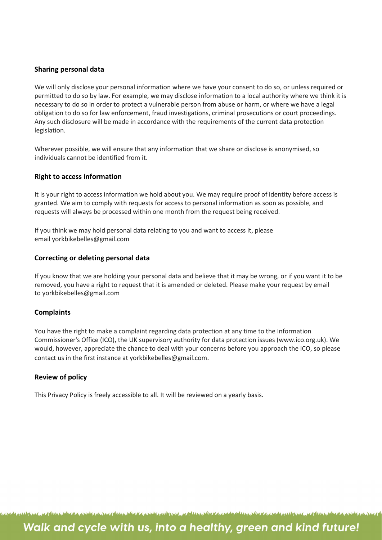### Sharing personal data

We will only disclose your personal information where we have your consent to do so, or unless required or permitted to do so by law. For example, we may disclose information to a local authority where we think it is necessary to do so in order to protect a vulnerable person from abuse or harm, or where we have a legal obligation to do so for law enforcement, fraud investigations, criminal prosecutions or court proceedings. Any such disclosure will be made in accordance with the requirements of the current data protection legislation.

Wherever possible, we will ensure that any information that we share or disclose is anonymised, so individuals cannot be identified from it.

#### Right to access information

It is your right to access information we hold about you. We may require proof of identity before access is granted. We aim to comply with requests for access to personal information as soon as possible, and requests will always be processed within one month from the request being received.

If you think we may hold personal data relating to you and want to access it, please email yorkbikebelles@gmail.com

#### Correcting or deleting personal data

If you know that we are holding your personal data and believe that it may be wrong, or if you want it to be removed, you have a right to request that it is amended or deleted. Please make your request by email to yorkbikebelles@gmail.com

#### **Complaints**

You have the right to make a complaint regarding data protection at any time to the Information Commissioner's Office (ICO), the UK supervisory authority for data protection issues (www.ico.org.uk). We would, however, appreciate the chance to deal with your concerns before you approach the ICO, so please contact us in the first instance at yorkbikebelles@gmail.com.

#### Review of policy

This Privacy Policy is freely accessible to all. It will be reviewed on a yearly basis.

I. A MARIA AND A REPORT MALA AND AND AND THE REPORT OF A MALAN COURT MALAND AND THE TIME AND THE AND AND AND AND

# Walk and cycle with us, into a healthy, green and kind future!